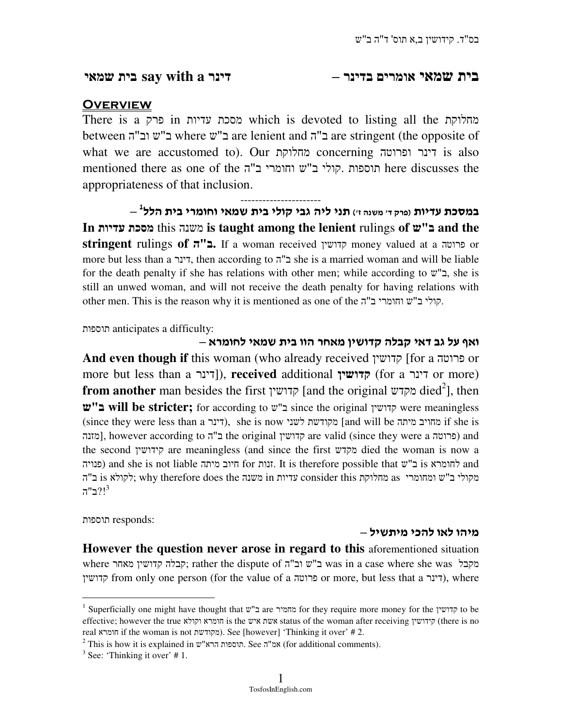# בית שמאי אומרים בדינר –דינר **a with say** בית שמאי

## **OVERVIEW**

There is a פרק in עדיות מסכת which is devoted to listing all the מחלוקת between "ה וב ש ב "where ש ב "are lenient and ב"ה are stringent (the opposite of what we are accustomed to). Our מחלוקת concerning ופרוטה דינר is also mentioned there as one of the תוספות קולי ב"ש וחומרי ב"ה here discusses the appropriateness of that inclusion.

---------------------- 1 במסכת עדיות פ( רק 'ד משנה )'ז תני ליה גבי קולי בית שמאי וחומרי בית הלל – **In** עדיות מסכת this משנה **is taught among the lenient** rulings **of** ש"ב **and the stringent** rulings **of** ה"ב**.** If a woman received קדושין money valued at a פרוטה or more but less than a דינר, then according to ב"ה she is a married woman and will be liable for the death penalty if she has relations with other men; while according to  $\mathbf{w}^n$ , she is still an unwed woman, and will not receive the death penalty for having relations with other men. This is the reason why it is mentioned as one of the "ה הומרי ב"ש וחומרי.

תוספות anticipates a difficulty:

ואף על גב דאי קבלה קדושין מאחר הוו בית שמאי לחומרא – **And even though if** this woman (who already received קדושין] for a פרוטה or more but less than a  $[7]$ ; **received** additional קדושין), **received**  $[6]$  for a קדושין) or more) **from another** man besides the first קדושין [and the original מקדש died<sup>2</sup>], then ש"ב **will be stricter;** for according to ש ב "since the original קדושין were meaningless (since they were less than a דינר), she is now מקודשת לשני (and will be מחויב מיתה) if she is מזנה], however according to ב"ה the original קדושין are valid (since they were a פרוטה) and the second קידושין are meaningless (and since the first מקדש died the woman is now a פנויה (and she is not liable זנות for זנות. It is therefore possible that ש ב is לחומרא and she is not liable מקולי ב"ש ומחומרי as מחלוקת consider this עדיות in משנה thy therefore does the; לקולא is ה"ה  $7"$ ב"ה $3$ 

:responds תוספות

 $\ddot{\phantom{a}}$ 

### מיהו לאו להכי מיתשיל –

**However the question never arose in regard to this** aforementioned situation where מאחר קדושין קבלה ;rather the dispute of "ה וב ש ב "was in a case where she was מקבל קדושין from only one person (for the value of a פרוטה), where (דינר $\gamma$ , where

 $<sup>1</sup>$  Superficially one might have thought that  $w''$ ב are מחמיר for they require more money for the קדושין to be</sup> effective; however the true וקולא חומרא is the איש אשת status of the woman after receiving קידושין) there is no real חומרא if the woman is not מקודשת(. See [however] 'Thinking it over' # 2.

 $^2$  This is how it is explained in שמ"ה. See אמ"ה, See אמ"ה). (for additional comments).

 $3$  See: 'Thinking it over' #1.